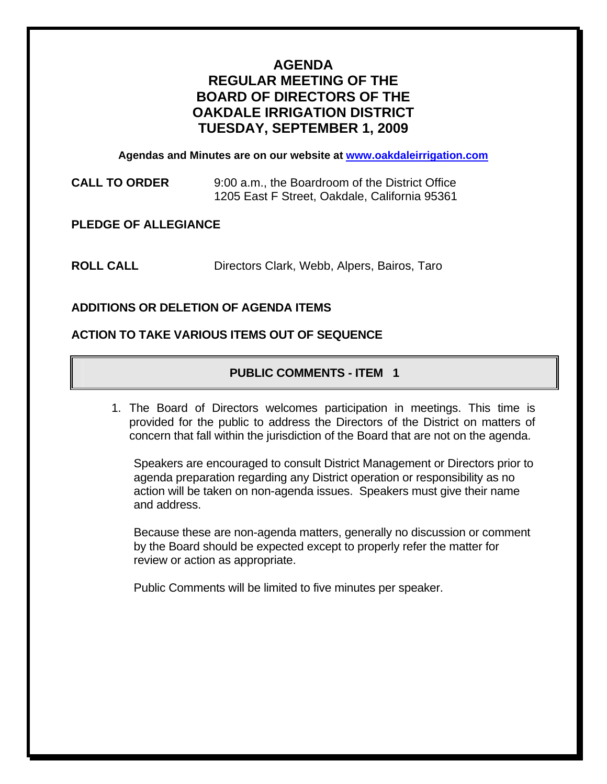# **AGENDA REGULAR MEETING OF THE BOARD OF DIRECTORS OF THE OAKDALE IRRIGATION DISTRICT TUESDAY, SEPTEMBER 1, 2009**

**Agendas and Minutes are on our website at [www.oakdaleirrigation.com](http://www.oakdaleirrigation.com/)**

**CALL TO ORDER** 9:00 a.m., the Boardroom of the District Office 1205 East F Street, Oakdale, California 95361

**PLEDGE OF ALLEGIANCE** 

**ROLL CALL** Directors Clark, Webb, Alpers, Bairos, Taro

# **ADDITIONS OR DELETION OF AGENDA ITEMS**

#### **ACTION TO TAKE VARIOUS ITEMS OUT OF SEQUENCE**

# **PUBLIC COMMENTS - ITEM 1**

1. The Board of Directors welcomes participation in meetings. This time is provided for the public to address the Directors of the District on matters of concern that fall within the jurisdiction of the Board that are not on the agenda.

Speakers are encouraged to consult District Management or Directors prior to agenda preparation regarding any District operation or responsibility as no action will be taken on non-agenda issues. Speakers must give their name and address.

Because these are non-agenda matters, generally no discussion or comment by the Board should be expected except to properly refer the matter for review or action as appropriate.

Public Comments will be limited to five minutes per speaker.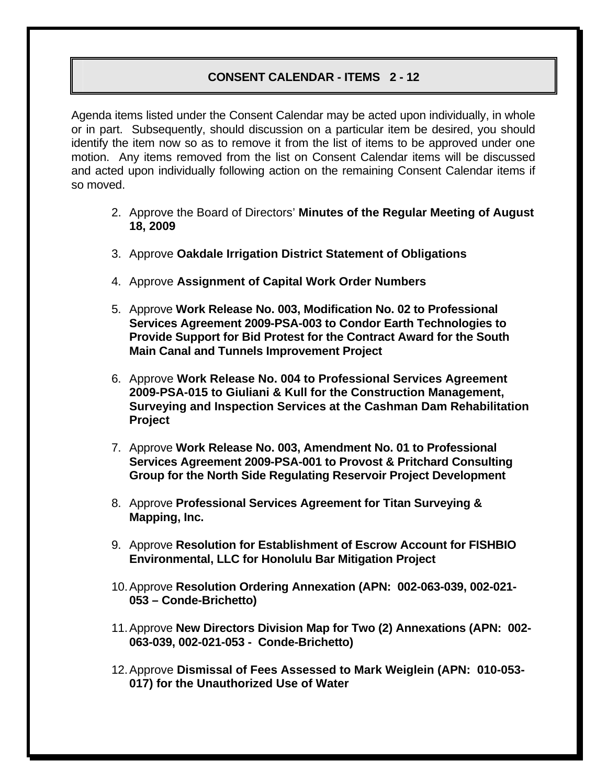## **CONSENT CALENDAR - ITEMS 2 - 12**

Agenda items listed under the Consent Calendar may be acted upon individually, in whole or in part. Subsequently, should discussion on a particular item be desired, you should identify the item now so as to remove it from the list of items to be approved under one motion. Any items removed from the list on Consent Calendar items will be discussed and acted upon individually following action on the remaining Consent Calendar items if so moved.

- 2. Approve the Board of Directors' **Minutes of the Regular Meeting of August 18, 2009**
- 3. Approve **Oakdale Irrigation District Statement of Obligations**
- 4. Approve **Assignment of Capital Work Order Numbers**
- 5. Approve **Work Release No. 003, Modification No. 02 to Professional Services Agreement 2009-PSA-003 to Condor Earth Technologies to Provide Support for Bid Protest for the Contract Award for the South Main Canal and Tunnels Improvement Project**
- 6. Approve **Work Release No. 004 to Professional Services Agreement 2009-PSA-015 to Giuliani & Kull for the Construction Management, Surveying and Inspection Services at the Cashman Dam Rehabilitation Project**
- 7. Approve **Work Release No. 003, Amendment No. 01 to Professional Services Agreement 2009-PSA-001 to Provost & Pritchard Consulting Group for the North Side Regulating Reservoir Project Development**
- 8. Approve **Professional Services Agreement for Titan Surveying & Mapping, Inc.**
- 9. Approve **Resolution for Establishment of Escrow Account for FISHBIO Environmental, LLC for Honolulu Bar Mitigation Project**
- 10. Approve **Resolution Ordering Annexation (APN: 002-063-039, 002-021- 053 – Conde-Brichetto)**
- 11. Approve **New Directors Division Map for Two (2) Annexations (APN: 002- 063-039, 002-021-053 - Conde-Brichetto)**
- 12. Approve **Dismissal of Fees Assessed to Mark Weiglein (APN: 010-053- 017) for the Unauthorized Use of Water**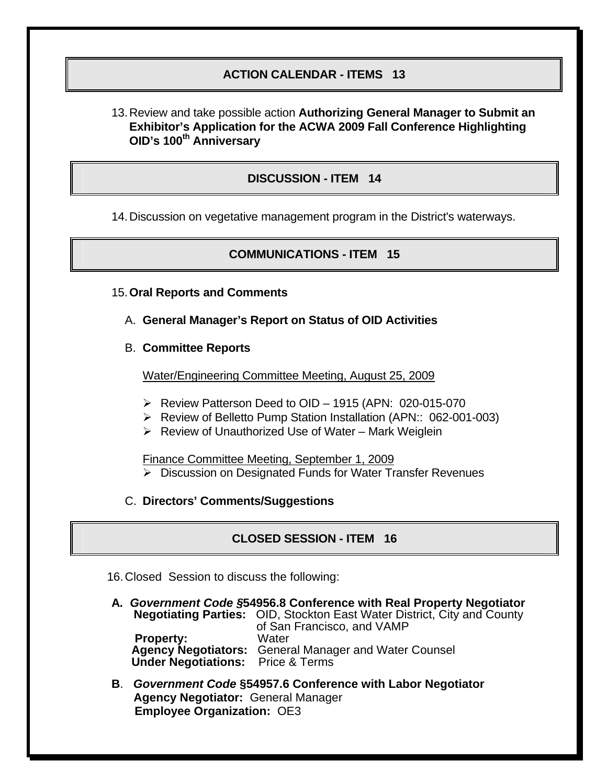## **ACTION CALENDAR - ITEMS 13**

13. Review and take possible action **Authorizing General Manager to Submit an Exhibitor's Application for the ACWA 2009 Fall Conference Highlighting OID's 100<sup>th</sup> Anniversary** 

### **DISCUSSION - ITEM 14**

14. Discussion on vegetative management program in the District's waterways.

#### **COMMUNICATIONS - ITEM 15**

- 15.**Oral Reports and Comments**
	- A. **General Manager's Report on Status of OID Activities**
	- B. **Committee Reports**

Water/Engineering Committee Meeting, August 25, 2009

- ¾ Review Patterson Deed to OID 1915 (APN: 020-015-070
- ¾ Review of Belletto Pump Station Installation (APN:: 062-001-003)
- $\triangleright$  Review of Unauthorized Use of Water Mark Weiglein

Finance Committee Meeting, September 1, 2009

- ¾ Discussion on Designated Funds for Water Transfer Revenues
- C. **Directors' Comments/Suggestions**

#### **CLOSED SESSION - ITEM 16**

- 16. Closed Session to discuss the following:
- **A***. Government Code §***54956.8 Conference with Real Property Negotiator Negotiating Parties:** OID, Stockton East Water District, City and County of San Francisco, and VAMP<br>Water **Property: Agency Negotiators:** General Manager and Water Counsel  **Under Negotiations:** Price & Terms
- **B**. *Government Code* **§54957.6 Conference with Labor Negotiator Agency Negotiator:** General Manager **Employee Organization:** OE3